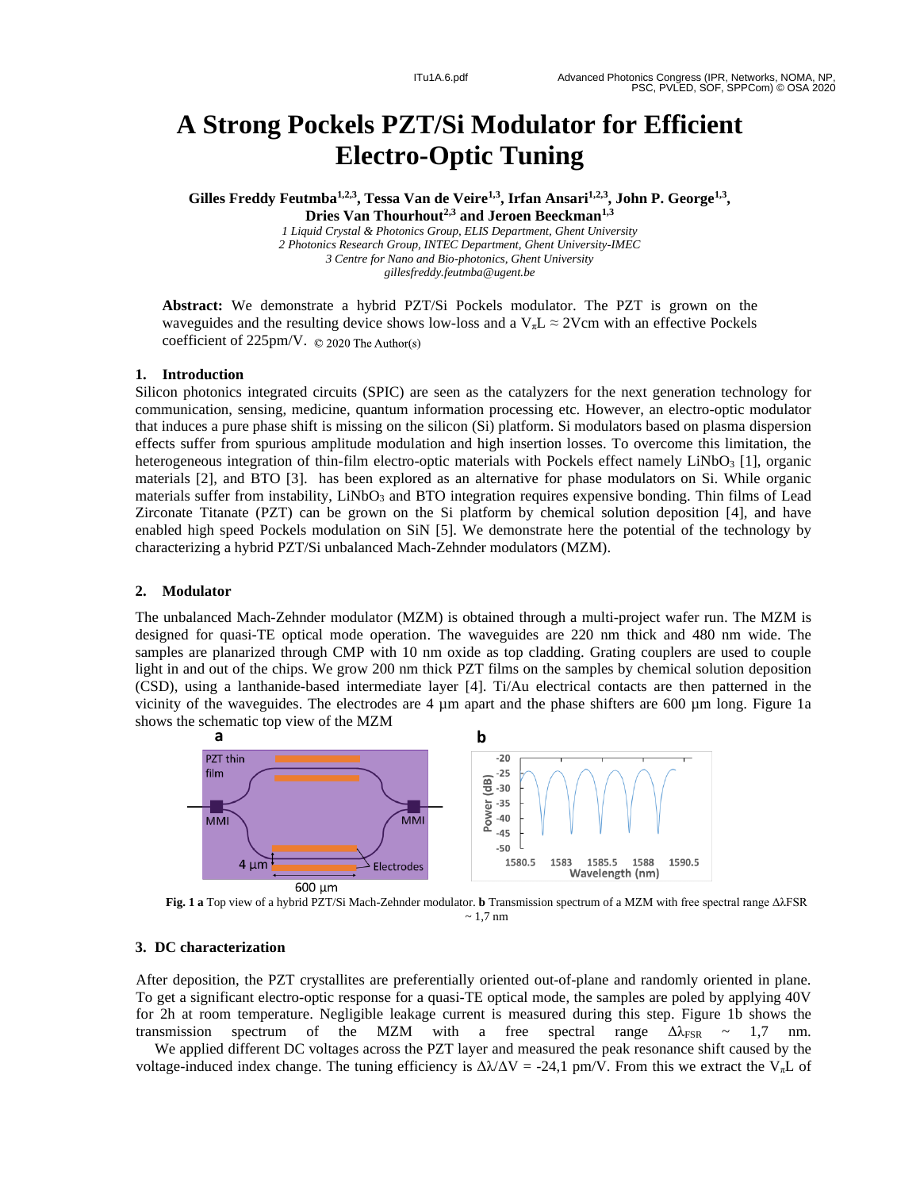# **A Strong Pockels PZT/Si Modulator for Efficient Electro - Optic Tuning**

**Gilles Freddy Feutmba1,2,3 , Tessa Van de Veire 1,3 , Irfan Ansari1,2,3 , John P. George1,3 , Dries Van Thourhout2,3 and Jeroen Beeckman1,3**

> 1 Liquid Crystal & Photonics Group, ELIS Department, Ghent University *2 Photonics Research Group, INTEC Department, Ghent University -IMEC 3 Centre for Nano and Bio -photonics, Ghent University gillesfreddy.feutmba@ugent.be*

Abstract: We demonstrate a hybrid PZT/Si Pockels modulator. The PZT is grown on the waveguides and the resulting device shows low-loss and a  $V_{\pi}L \approx 2V$ cm with an effective Pockels coefficient of  $225 \text{pm/V}$ .  $\odot$  2020 The Author(s)

#### **1. Introduction**

Silicon photonics integrated circuits (SPIC) are seen as the catalyzers for the next generation technology for communication, sensing, medicine, quantum information processing etc. However, an electro -optic modulator that induces a pure phase shift is missing on the silicon (Si ) platform . Si modulators based on plasma dispersion effects suffer from spurious amplitude modulation and high insertion losses. To overcome this limitation, the heterogeneous integration of thin-film electro-optic materials with Pockels effect namely LiNbO<sub>3</sub> [1], organic materials [2], and BTO [3]. ha s been explored as an alternative for phase modulators on S i. While organic materials suffer from instability, LiNbO<sub>3</sub> and BTO integration requires expensive bonding. Thin films of Lead Zirconate Titanate (PZT) can be grown on the Si platform by chemical solution deposition [4], and have enabled high spee d Pockels modul ation on SiN [5]. We demonstrate here the potential of the technology by characterizing a hybrid PZT/Si unbalanced Mach -Zehnder modulators (MZM).

#### **2. Modulator**

The unbalanced Mach-Zehnder modulator (MZM) is obtained through a multi-project wafer run. The MZM is designed for quasi-TE optical mode operation. The waveguides are 220 nm thick and 480 nm wide. The samples are planarized through CMP with 10 nm oxide as top cladding. Grating couplers are used to couple light in and out of the chips. We grow 200 nm thick PZT films on the samples by chemical solution deposition (CSD), using a lanthanide -based intermediate layer [ 4 ] . Ti/Au electrical contacts are then patterned in the vicinity of the waveguides. The electrodes are  $4 \mu m$  apart and the phase shifters are 600  $\mu m$  long. Figure 1a show s the schematic top view of the MZM



**Fig. 1 a** Top view of a h ybrid PZT/Si Mach -Zehnder modulator. **b** Transmission spectrum of a MZM with free spectral range ΔλFSR  $\sim 1.7$  nm

#### **3. DC characterizatio n**

After deposition, the PZT crystallites are preferentially oriented out -of-plane and randomly oriented in plane. To get a significant electro-optic response for a quasi-TE optical mode, the samples are poled by applying 40V for 2h at room temperature. Negligible leakage current is measured during this step. Figure 1b shows the transmission spectrum of the MZM with a free spectral range  $\Delta\lambda_{FSR} \sim 1.7$  nm.

We applied different DC voltages across the PZT layer and measured the peak resonance shift caused by the voltage-induced index change. The tuning efficiency is  $\Delta\lambda/\Delta V = -24.1$  pm/V. From this we extract the V<sub>x</sub>L of